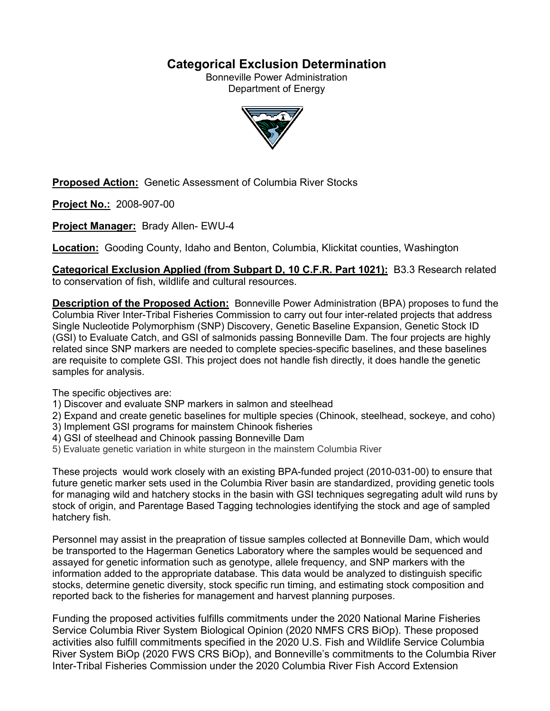# **Categorical Exclusion Determination**

Bonneville Power Administration Department of Energy



**Proposed Action:** Genetic Assessment of Columbia River Stocks

**Project No.:** 2008-907-00

**Project Manager:** Brady Allen- EWU-4

**Location:** Gooding County, Idaho and Benton, Columbia, Klickitat counties, Washington

**Categorical Exclusion Applied (from Subpart D, 10 C.F.R. Part 1021):** B3.3 Research related to conservation of fish, wildlife and cultural resources.

**Description of the Proposed Action:** Bonneville Power Administration (BPA) proposes to fund the Columbia River Inter-Tribal Fisheries Commission to carry out four inter-related projects that address Single Nucleotide Polymorphism (SNP) Discovery, Genetic Baseline Expansion, Genetic Stock ID (GSI) to Evaluate Catch, and GSI of salmonids passing Bonneville Dam. The four projects are highly related since SNP markers are needed to complete species-specific baselines, and these baselines are requisite to complete GSI. This project does not handle fish directly, it does handle the genetic samples for analysis.

The specific objectives are:

- 1) Discover and evaluate SNP markers in salmon and steelhead
- 2) Expand and create genetic baselines for multiple species (Chinook, steelhead, sockeye, and coho)
- 3) Implement GSI programs for mainstem Chinook fisheries
- 4) GSI of steelhead and Chinook passing Bonneville Dam
- 5) Evaluate genetic variation in white sturgeon in the mainstem Columbia River

These projects would work closely with an existing BPA-funded project (2010-031-00) to ensure that future genetic marker sets used in the Columbia River basin are standardized, providing genetic tools for managing wild and hatchery stocks in the basin with GSI techniques segregating adult wild runs by stock of origin, and Parentage Based Tagging technologies identifying the stock and age of sampled hatchery fish.

Personnel may assist in the preapration of tissue samples collected at Bonneville Dam, which would be transported to the Hagerman Genetics Laboratory where the samples would be sequenced and assayed for genetic information such as genotype, allele frequency, and SNP markers with the information added to the appropriate database. This data would be analyzed to distinguish specific stocks, determine genetic diversity, stock specific run timing, and estimating stock composition and reported back to the fisheries for management and harvest planning purposes.

Funding the proposed activities fulfills commitments under the 2020 National Marine Fisheries Service Columbia River System Biological Opinion (2020 NMFS CRS BiOp). These proposed activities also fulfill commitments specified in the 2020 U.S. Fish and Wildlife Service Columbia River System BiOp (2020 FWS CRS BiOp), and Bonneville's commitments to the Columbia River Inter-Tribal Fisheries Commission under the 2020 Columbia River Fish Accord Extension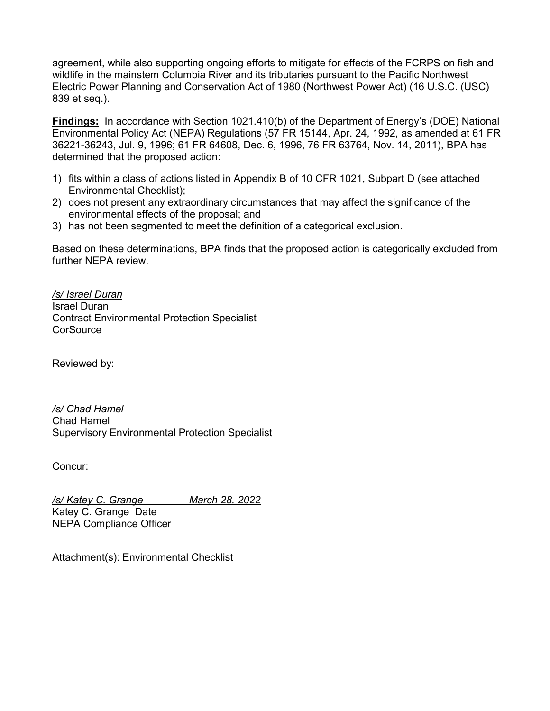agreement, while also supporting ongoing efforts to mitigate for effects of the FCRPS on fish and wildlife in the mainstem Columbia River and its tributaries pursuant to the Pacific Northwest Electric Power Planning and Conservation Act of 1980 (Northwest Power Act) (16 U.S.C. (USC) 839 et seq.).

**Findings:** In accordance with Section 1021.410(b) of the Department of Energy's (DOE) National Environmental Policy Act (NEPA) Regulations (57 FR 15144, Apr. 24, 1992, as amended at 61 FR 36221-36243, Jul. 9, 1996; 61 FR 64608, Dec. 6, 1996, 76 FR 63764, Nov. 14, 2011), BPA has determined that the proposed action:

- 1) fits within a class of actions listed in Appendix B of 10 CFR 1021, Subpart D (see attached Environmental Checklist);
- 2) does not present any extraordinary circumstances that may affect the significance of the environmental effects of the proposal; and
- 3) has not been segmented to meet the definition of a categorical exclusion.

Based on these determinations, BPA finds that the proposed action is categorically excluded from further NEPA review.

*/s/ Israel Duran* Israel Duran Contract Environmental Protection Specialist **CorSource** 

Reviewed by:

*/s/ Chad Hamel* Chad Hamel Supervisory Environmental Protection Specialist

Concur:

*/s/ Katey C. Grange March 28, 2022* Katey C. Grange Date NEPA Compliance Officer

Attachment(s): Environmental Checklist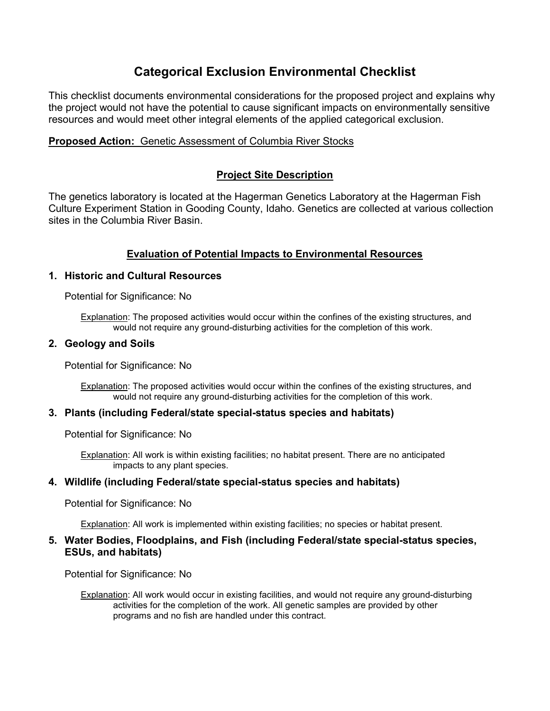# **Categorical Exclusion Environmental Checklist**

This checklist documents environmental considerations for the proposed project and explains why the project would not have the potential to cause significant impacts on environmentally sensitive resources and would meet other integral elements of the applied categorical exclusion.

# **Proposed Action:** Genetic Assessment of Columbia River Stocks

# **Project Site Description**

The genetics laboratory is located at the Hagerman Genetics Laboratory at the Hagerman Fish Culture Experiment Station in Gooding County, Idaho. Genetics are collected at various collection sites in the Columbia River Basin.

# **Evaluation of Potential Impacts to Environmental Resources**

## **1. Historic and Cultural Resources**

Potential for Significance: No

Explanation: The proposed activities would occur within the confines of the existing structures, and would not require any ground-disturbing activities for the completion of this work.

## **2. Geology and Soils**

Potential for Significance: No

Explanation: The proposed activities would occur within the confines of the existing structures, and would not require any ground-disturbing activities for the completion of this work.

## **3. Plants (including Federal/state special-status species and habitats)**

Potential for Significance: No

Explanation: All work is within existing facilities; no habitat present. There are no anticipated impacts to any plant species.

## **4. Wildlife (including Federal/state special-status species and habitats)**

Potential for Significance: No

Explanation: All work is implemented within existing facilities; no species or habitat present.

## **5. Water Bodies, Floodplains, and Fish (including Federal/state special-status species, ESUs, and habitats)**

Potential for Significance: No

Explanation: All work would occur in existing facilities, and would not require any ground-disturbing activities for the completion of the work. All genetic samples are provided by other programs and no fish are handled under this contract.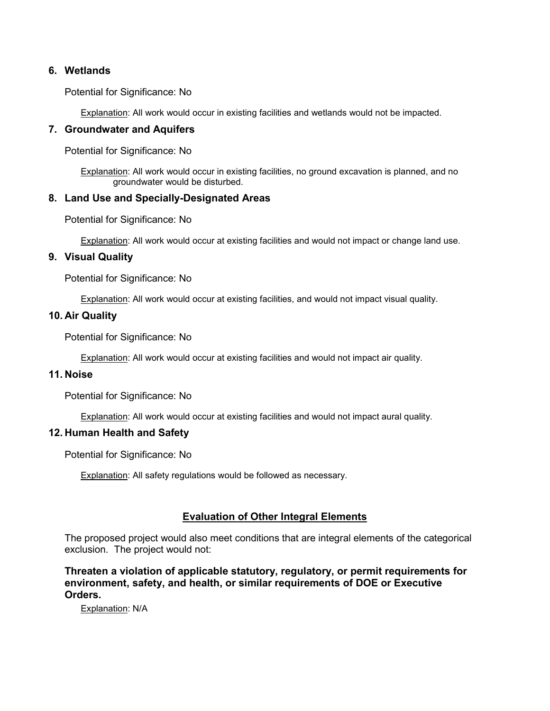#### **6. Wetlands**

Potential for Significance: No

Explanation: All work would occur in existing facilities and wetlands would not be impacted.

#### **7. Groundwater and Aquifers**

Potential for Significance: No

Explanation: All work would occur in existing facilities, no ground excavation is planned, and no groundwater would be disturbed.

#### **8. Land Use and Specially-Designated Areas**

Potential for Significance: No

Explanation: All work would occur at existing facilities and would not impact or change land use.

## **9. Visual Quality**

Potential for Significance: No

Explanation: All work would occur at existing facilities, and would not impact visual quality.

#### **10. Air Quality**

Potential for Significance: No

Explanation: All work would occur at existing facilities and would not impact air quality.

#### **11. Noise**

Potential for Significance: No

Explanation: All work would occur at existing facilities and would not impact aural quality.

#### **12. Human Health and Safety**

Potential for Significance: No

Explanation: All safety regulations would be followed as necessary.

## **Evaluation of Other Integral Elements**

The proposed project would also meet conditions that are integral elements of the categorical exclusion. The project would not:

**Threaten a violation of applicable statutory, regulatory, or permit requirements for environment, safety, and health, or similar requirements of DOE or Executive Orders.**

Explanation: N/A